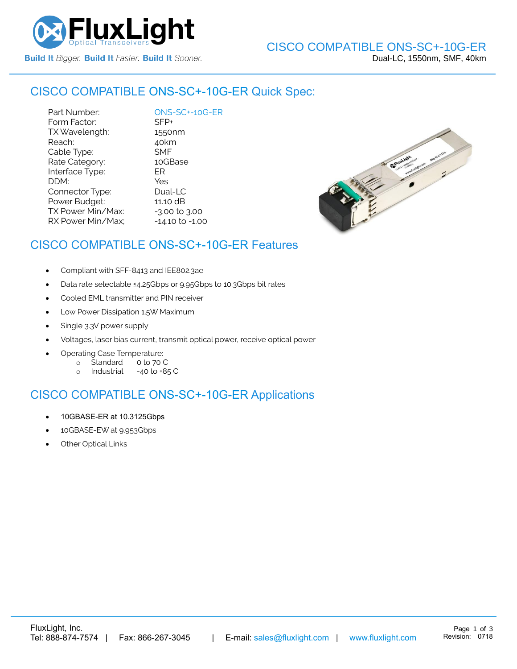

### CISCO COMPATIBLE [ONS-SC+-10G-ER](https://www.fluxlight.com/) Quick Spec:

Part Number: [ONS-SC+-10G-ER](https://www.fluxlight.com/) Form Factor: SFP+ TX Wavelength: 1550nm Reach: 40km Cable Type: SMF Rate Category: 10GBase Interface Type: ER DDM: Yes Connector Type: Dual-LC Power Budget: 11.10 dB  $TX$  Power Min/Max:  $-3.00$  to  $3.00$ RX Power Min/Max; - 14.10 to -1.00



## CISCO COMPATIBLE [ONS-SC+-10G-ER](https://www.fluxlight.com/) Features

- Compliant with SFF-8413 and IEE802.3ae
- Data rate selectable ≤4.25Gbps or 9.95Gbps to 10.3Gbps bit rates
- Cooled EML transmitter and PIN receiver
- Low Power Dissipation 1.5W Maximum
- Single 3.3V power supply
- Voltages, laser bias current, transmit optical power, receive optical power
- Operating Case Temperature:
	- o Standard 0 to 70 C
	- o Industrial -40 to +85 C

# CISCO COMPATIBLE [ONS-SC+-10G-ER](https://www.fluxlight.com/) Applications

- 10GBASE-ER at 10.3125Gbps
- 10GBASE-EW at 9.953Gbps
- **Other Optical Links**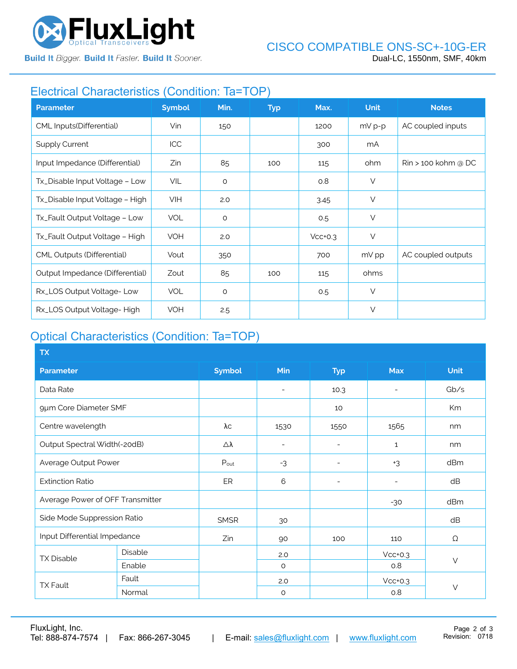

**Build It Bigger. Build It Faster. Build It Sooner.** 

# Electrical Characteristics (Condition: Ta=TOP)

| <b>Parameter</b>                  | <b>Symbol</b> | Min.    | <b>Typ</b> | Max.      | <b>Unit</b> | <b>Notes</b>                   |
|-----------------------------------|---------------|---------|------------|-----------|-------------|--------------------------------|
| CML Inputs(Differential)          | Vin           | 150     |            | 1200      | $mV p-p$    | AC coupled inputs              |
| <b>Supply Current</b>             | ICC           |         |            | 300       | mA          |                                |
| Input Impedance (Differential)    | Zin           | 85      | 100        | 115       | ohm         | $\mathrm{Rin}$ > 100 kohm @ DC |
| Tx_Disable Input Voltage - Low    | VIL           | $\circ$ |            | 0.8       | $\vee$      |                                |
| Tx_Disable Input Voltage - High   | <b>VIH</b>    | 2.0     |            | 3.45      | $\vee$      |                                |
| Tx_Fault Output Voltage - Low     | <b>VOL</b>    | $\circ$ |            | 0.5       | $\vee$      |                                |
| Tx_Fault Output Voltage - High    | VOH           | 2.0     |            | $Vcc+0.3$ | $\vee$      |                                |
| <b>CML Outputs (Differential)</b> | Vout          | 350     |            | 700       | mV pp       | AC coupled outputs             |
| Output Impedance (Differential)   | Zout          | 85      | 100        | 115       | ohms        |                                |
| Rx_LOS Output Voltage-Low         | <b>VOL</b>    | $\circ$ |            | 0.5       | $\vee$      |                                |
| Rx_LOS Output Voltage-High        | <b>VOH</b>    | 2.5     |            |           | $\vee$      |                                |

# Optical Characteristics (Condition: Ta=TOP)

| <b>TX</b>                        |         |                  |                          |                          |                          |             |  |
|----------------------------------|---------|------------------|--------------------------|--------------------------|--------------------------|-------------|--|
| <b>Parameter</b>                 |         | <b>Symbol</b>    | Min                      | <b>Typ</b>               | <b>Max</b>               | <b>Unit</b> |  |
| Data Rate                        |         |                  | $\overline{\phantom{a}}$ | 10.3                     | $\overline{\phantom{0}}$ | Gb/s        |  |
| 9µm Core Diameter SMF            |         |                  |                          | 10                       |                          | Km          |  |
| Centre wavelength                |         | λс               | 1530                     | 1550                     | 1565                     | nm          |  |
| Output Spectral Width(-20dB)     |         | Δλ               | $\overline{\phantom{a}}$ | ۰                        | $\mathbf{1}$             | nm          |  |
| Average Output Power             |         | $P_{\text{out}}$ | $-3$                     | $\overline{\phantom{a}}$ | $+3$                     | dBm         |  |
| <b>Extinction Ratio</b>          |         | ER               | 6                        | $\overline{\phantom{0}}$ | $\overline{\phantom{0}}$ | dB          |  |
| Average Power of OFF Transmitter |         |                  |                          |                          | $-30$                    | dBm         |  |
| Side Mode Suppression Ratio      |         | <b>SMSR</b>      | 30                       |                          |                          | dB          |  |
| Input Differential Impedance     |         | Zin              | 90                       | 100                      | 110                      | Ω           |  |
| <b>TX Disable</b>                | Disable |                  | 2.0                      |                          | $Vcc+0.3$                | $\vee$      |  |
|                                  | Enable  |                  | $\circ$                  |                          | 0.8                      |             |  |
| <b>TX Fault</b>                  | Fault   |                  | 2.0                      |                          | $Vcc+0.3$                |             |  |
|                                  | Normal  |                  | $\circ$                  |                          | 0.8                      | $\vee$      |  |